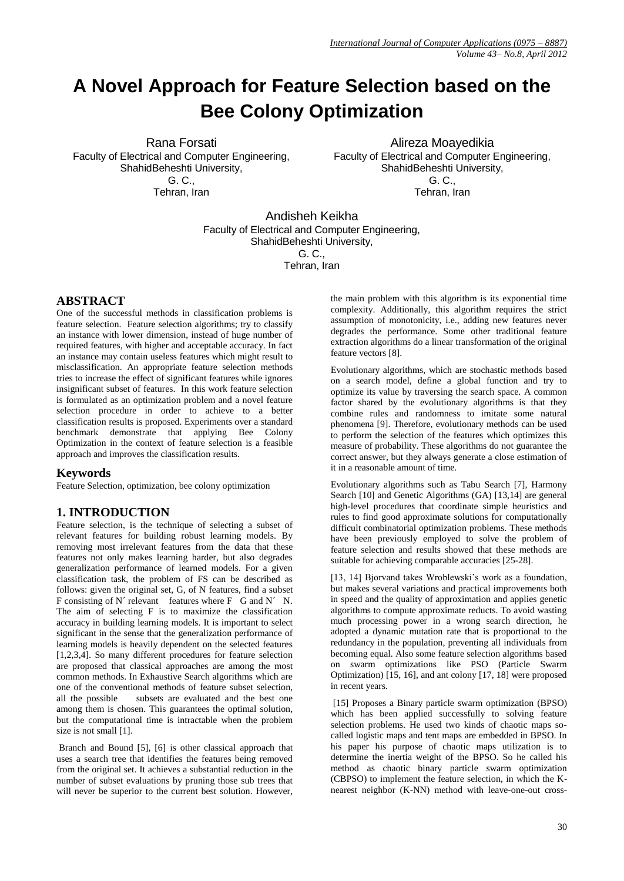# **A Novel Approach for Feature Selection based on the Bee Colony Optimization**

Rana Forsati Faculty of Electrical and Computer Engineering, ShahidBeheshti University, G. C., Tehran, Iran

Alireza Moayedikia Faculty of Electrical and Computer Engineering, ShahidBeheshti University, G. C., Tehran, Iran

Andisheh Keikha Faculty of Electrical and Computer Engineering, ShahidBeheshti University, G. C., Tehran, Iran

# **ABSTRACT**

One of the successful methods in classification problems is feature selection. Feature selection algorithms; try to classify an instance with lower dimension, instead of huge number of required features, with higher and acceptable accuracy. In fact an instance may contain useless features which might result to misclassification. An appropriate feature selection methods tries to increase the effect of significant features while ignores insignificant subset of features. In this work feature selection is formulated as an optimization problem and a novel feature selection procedure in order to achieve to a better classification results is proposed. Experiments over a standard benchmark demonstrate that applying Bee Colony Optimization in the context of feature selection is a feasible approach and improves the classification results.

## **Keywords**

Feature Selection, optimization, bee colony optimization

## **1. INTRODUCTION**

Feature selection, is the technique of selecting a subset of relevant features for building robust learning models. By removing most irrelevant features from the data that these features not only makes learning harder, but also degrades generalization performance of learned models. For a given classification task, the problem of FS can be described as follows: given the original set, G, of N features, find a subset F consisting of N´ relevant features where F G and N´ N. The aim of selecting F is to maximize the classification accuracy in building learning models. It is important to select significant in the sense that the generalization performance of learning models is heavily dependent on the selected features [1,2,3,4]. So many different procedures for feature selection are proposed that classical approaches are among the most common methods. In Exhaustive Search algorithms which are one of the conventional methods of feature subset selection, all the possible subsets are evaluated and the best one among them is chosen. This guarantees the optimal solution, but the computational time is intractable when the problem size is not small [1].

Branch and Bound [5], [6] is other classical approach that uses a search tree that identifies the features being removed from the original set. It achieves a substantial reduction in the number of subset evaluations by pruning those sub trees that will never be superior to the current best solution. However, the main problem with this algorithm is its exponential time complexity. Additionally, this algorithm requires the strict assumption of monotonicity, i.e., adding new features never degrades the performance. Some other traditional feature extraction algorithms do a linear transformation of the original feature vectors [8].

Evolutionary algorithms, which are stochastic methods based on a search model, define a global function and try to optimize its value by traversing the search space. A common factor shared by the evolutionary algorithms is that they combine rules and randomness to imitate some natural phenomena [9]. Therefore, evolutionary methods can be used to perform the selection of the features which optimizes this measure of probability. These algorithms do not guarantee the correct answer, but they always generate a close estimation of it in a reasonable amount of time.

Evolutionary algorithms such as Tabu Search [7], Harmony Search [10] and Genetic Algorithms (GA) [13,14] are general high-level procedures that coordinate simple heuristics and rules to find good approximate solutions for computationally difficult combinatorial optimization problems. These methods have been previously employed to solve the problem of feature selection and results showed that these methods are suitable for achieving comparable accuracies [25-28].

[13, 14] Bjorvand takes Wroblewski's work as a foundation, but makes several variations and practical improvements both in speed and the quality of approximation and applies genetic algorithms to compute approximate reducts. To avoid wasting much processing power in a wrong search direction, he adopted a dynamic mutation rate that is proportional to the redundancy in the population, preventing all individuals from becoming equal. Also some feature selection algorithms based on swarm optimizations like PSO (Particle Swarm Optimization) [15, 16], and ant colony [17, 18] were proposed in recent years.

[15] Proposes a Binary particle swarm optimization (BPSO) which has been applied successfully to solving feature selection problems. He used two kinds of chaotic maps socalled logistic maps and tent maps are embedded in BPSO. In his paper his purpose of chaotic maps utilization is to determine the inertia weight of the BPSO. So he called his method as chaotic binary particle swarm optimization (CBPSO) to implement the feature selection, in which the Knearest neighbor (K-NN) method with leave-one-out cross-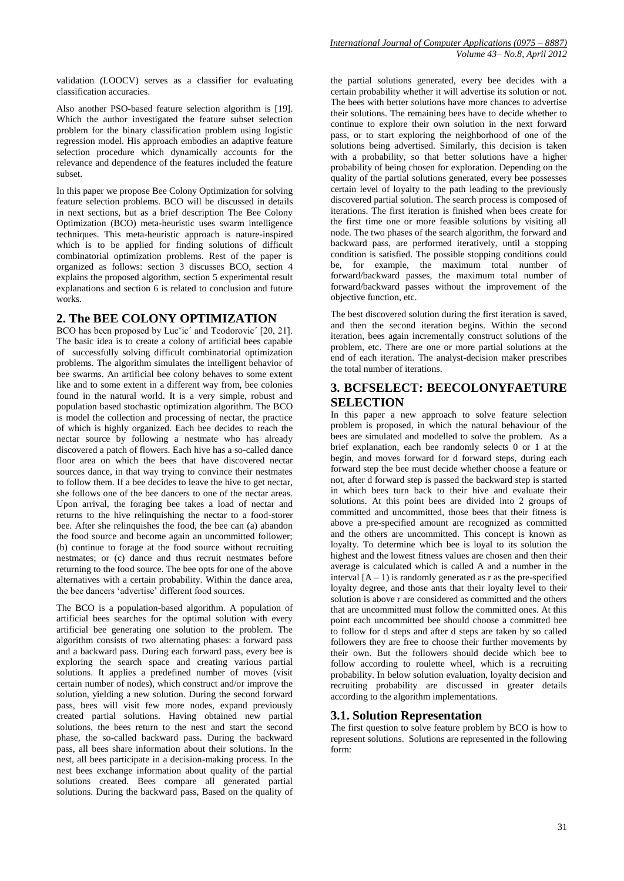Also another PSO-based feature selection algorithm is [19]. Which the author investigated the feature subset selection problem for the binary classification problem using logistic regression model. His approach embodies an adaptive feature selection procedure which dynamically accounts for the relevance and dependence of the features included the feature subset.

In this paper we propose Bee Colony Optimization for solving feature selection problems. BCO will be discussed in details in next sections, but as a brief description The Bee Colony Optimization (BCO) meta-heuristic uses swarm intelligence techniques. This meta-heuristic approach is nature-inspired which is to be applied for finding solutions of difficult combinatorial optimization problems. Rest of the paper is organized as follows: section 3 discusses BCO, section 4 explains the proposed algorithm, section 5 experimental result explanations and section 6 is related to conclusion and future works.

## **2. The BEE COLONY OPTIMIZATION**

BCO has been proposed by Luc<sup>x</sup>ic<sup>'</sup> and Teodorovic<sup>'</sup> [20, 21]. The basic idea is to create a colony of artificial bees capable of successfully solving difficult combinatorial optimization problems. The algorithm simulates the intelligent behavior of bee swarms. An artificial bee colony behaves to some extent like and to some extent in a different way from, bee colonies found in the natural world. It is a very simple, robust and population based stochastic optimization algorithm. The BCO is model the collection and processing of nectar, the practice of which is highly organized. Each bee decides to reach the nectar source by following a nestmate who has already discovered a patch of flowers. Each hive has a so-called dance floor area on which the bees that have discovered nectar sources dance, in that way trying to convince their nestmates to follow them. If a bee decides to leave the hive to get nectar, she follows one of the bee dancers to one of the nectar areas. Upon arrival, the foraging bee takes a load of nectar and returns to the hive relinquishing the nectar to a food-storer bee. After she relinquishes the food, the bee can (a) abandon the food source and become again an uncommitted follower; (b) continue to forage at the food source without recruiting nestmates; or (c) dance and thus recruit nestmates before returning to the food source. The bee opts for one of the above alternatives with a certain probability. Within the dance area, the bee dancers 'advertise' different food sources.

The BCO is a population-based algorithm. A population of artificial bees searches for the optimal solution with every artificial bee generating one solution to the problem. The algorithm consists of two alternating phases: a forward pass and a backward pass. During each forward pass, every bee is exploring the search space and creating various partial solutions. It applies a predefined number of moves (visit certain number of nodes), which construct and/or improve the solution, yielding a new solution. During the second forward pass, bees will visit few more nodes, expand previously created partial solutions. Having obtained new partial solutions, the bees return to the nest and start the second phase, the so-called backward pass. During the backward pass, all bees share information about their solutions. In the nest, all bees participate in a decision-making process. In the nest bees exchange information about quality of the partial solutions created. Bees compare all generated partial solutions. During the backward pass, Based on the quality of the partial solutions generated, every bee decides with a certain probability whether it will advertise its solution or not. The bees with better solutions have more chances to advertise their solutions. The remaining bees have to decide whether to continue to explore their own solution in the next forward pass, or to start exploring the neighborhood of one of the solutions being advertised. Similarly, this decision is taken with a probability, so that better solutions have a higher probability of being chosen for exploration. Depending on the quality of the partial solutions generated, every bee possesses certain level of loyalty to the path leading to the previously discovered partial solution. The search process is composed of iterations. The first iteration is finished when bees create for the first time one or more feasible solutions by visiting all node. The two phases of the search algorithm, the forward and backward pass, are performed iteratively, until a stopping condition is satisfied. The possible stopping conditions could be, for example, the maximum total number of forward/backward passes, the maximum total number of forward/backward passes without the improvement of the objective function, etc.

The best discovered solution during the first iteration is saved, and then the second iteration begins. Within the second iteration, bees again incrementally construct solutions of the problem, etc. There are one or more partial solutions at the end of each iteration. The analyst-decision maker prescribes the total number of iterations.

## **3. BCFSELECT: BEECOLONYFAETURE SELECTION**

In this paper a new approach to solve feature selection problem is proposed, in which the natural behaviour of the bees are simulated and modelled to solve the problem. As a brief explanation, each bee randomly selects 0 or 1 at the begin, and moves forward for d forward steps, during each forward step the bee must decide whether choose a feature or not, after d forward step is passed the backward step is started in which bees turn back to their hive and evaluate their solutions. At this point bees are divided into 2 groups of committed and uncommitted, those bees that their fitness is above a pre-specified amount are recognized as committed and the others are uncommitted. This concept is known as loyalty. To determine which bee is loyal to its solution the highest and the lowest fitness values are chosen and then their average is calculated which is called A and a number in the interval  $[A - 1]$  is randomly generated as r as the pre-specified loyalty degree, and those ants that their loyalty level to their solution is above r are considered as committed and the others that are uncommitted must follow the committed ones. At this point each uncommitted bee should choose a committed bee to follow for d steps and after d steps are taken by so called followers they are free to choose their further movements by their own. But the followers should decide which bee to follow according to roulette wheel, which is a recruiting probability. In below solution evaluation, loyalty decision and recruiting probability are discussed in greater details according to the algorithm implementations.

## **3.1. Solution Representation**

The first question to solve feature problem by BCO is how to represent solutions. Solutions are represented in the following form: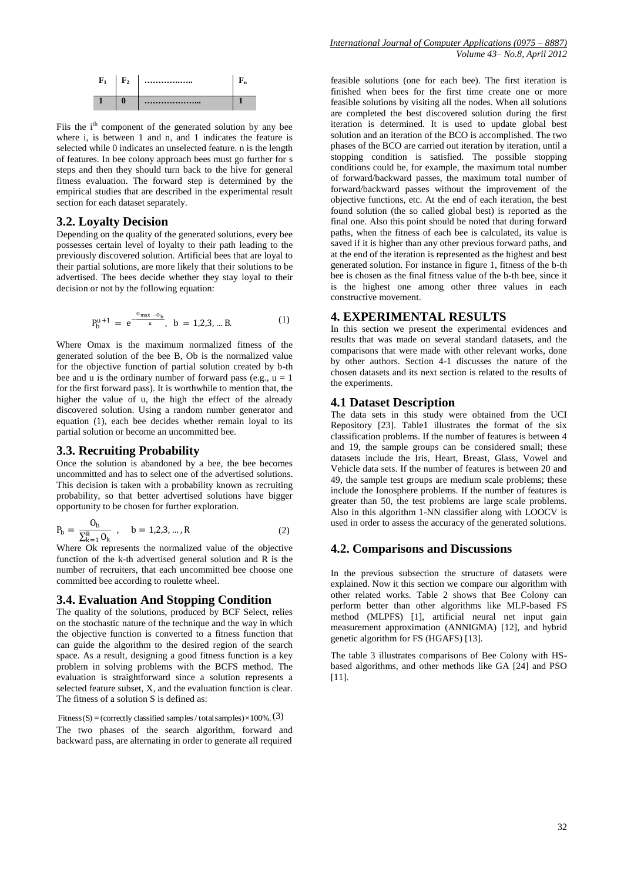

Fiis the i<sup>th</sup> component of the generated solution by any bee where i, is between 1 and n, and 1 indicates the feature is selected while 0 indicates an unselected feature. n is the length of features. In bee colony approach bees must go further for s steps and then they should turn back to the hive for general fitness evaluation. The forward step is determined by the empirical studies that are described in the experimental result section for each dataset separately.

#### **3.2. Loyalty Decision**

Depending on the quality of the generated solutions, every bee possesses certain level of loyalty to their path leading to the previously discovered solution. Artificial bees that are loyal to their partial solutions, are more likely that their solutions to be advertised. The bees decide whether they stay loyal to their decision or not by the following equation:

$$
P_b^{u+1} = e^{-\frac{0_{\text{max}} - 0_b}{u}}, \quad b = 1, 2, 3, \dots B. \tag{1}
$$

Where Omax is the maximum normalized fitness of the generated solution of the bee B, Ob is the normalized value for the objective function of partial solution created by b-th bee and u is the ordinary number of forward pass (e.g.,  $u = 1$ ) for the first forward pass). It is worthwhile to mention that, the higher the value of u, the high the effect of the already discovered solution. Using a random number generator and equation (1), each bee decides whether remain loyal to its partial solution or become an uncommitted bee.

#### **3.3. Recruiting Probability**

Once the solution is abandoned by a bee, the bee becomes uncommitted and has to select one of the advertised solutions. This decision is taken with a probability known as recruiting probability, so that better advertised solutions have bigger opportunity to be chosen for further exploration.

$$
P_b = \frac{O_b}{\sum_{k=1}^{R} O_k}, \quad b = 1, 2, 3, ..., R
$$
 (2)

Where Ok represents the normalized value of the objective function of the k-th advertised general solution and R is the number of recruiters, that each uncommitted bee choose one committed bee according to roulette wheel.

#### **3.4. Evaluation And Stopping Condition**

The quality of the solutions, produced by BCF Select, relies on the stochastic nature of the technique and the way in which the objective function is converted to a fitness function that can guide the algorithm to the desired region of the search space. As a result, designing a good fitness function is a key problem in solving problems with the BCFS method. The evaluation is straightforward since a solution represents a selected feature subset, X, and the evaluation function is clear. The fitness of a solution S is defined as:

Fitness (S) = (correctly classified samples / total samples) $\times$ 100%. (3) The two phases of the search algorithm, forward and backward pass, are alternating in order to generate all required

feasible solutions (one for each bee). The first iteration is finished when bees for the first time create one or more feasible solutions by visiting all the nodes. When all solutions are completed the best discovered solution during the first iteration is determined. It is used to update global best solution and an iteration of the BCO is accomplished. The two phases of the BCO are carried out iteration by iteration, until a stopping condition is satisfied. The possible stopping conditions could be, for example, the maximum total number of forward/backward passes, the maximum total number of forward/backward passes without the improvement of the objective functions, etc. At the end of each iteration, the best found solution (the so called global best) is reported as the final one. Also this point should be noted that during forward paths, when the fitness of each bee is calculated, its value is saved if it is higher than any other previous forward paths, and at the end of the iteration is represented as the highest and best generated solution. For instance in figure 1, fitness of the b-th bee is chosen as the final fitness value of the b-th bee, since it is the highest one among other three values in each constructive movement.

#### **4. EXPERIMENTAL RESULTS**

In this section we present the experimental evidences and results that was made on several standard datasets, and the comparisons that were made with other relevant works, done by other authors. Section 4-1 discusses the nature of the chosen datasets and its next section is related to the results of the experiments.

#### **4.1 Dataset Description**

The data sets in this study were obtained from the UCI Repository [23]. Table1 illustrates the format of the six classification problems. If the number of features is between 4 and 19, the sample groups can be considered small; these datasets include the Iris, Heart, Breast, Glass, Vowel and Vehicle data sets. If the number of features is between 20 and 49, the sample test groups are medium scale problems; these include the Ionosphere problems. If the number of features is greater than 50, the test problems are large scale problems. Also in this algorithm 1-NN classifier along with LOOCV is used in order to assess the accuracy of the generated solutions.

### **4.2. Comparisons and Discussions**

In the previous subsection the structure of datasets were explained. Now it this section we compare our algorithm with other related works. Table 2 shows that Bee Colony can perform better than other algorithms like MLP-based FS method (MLPFS) [1], artificial neural net input gain measurement approximation (ANNIGMA) [12], and hybrid genetic algorithm for FS (HGAFS) [13].

The table 3 illustrates comparisons of Bee Colony with HSbased algorithms, and other methods like GA [24] and PSO [11].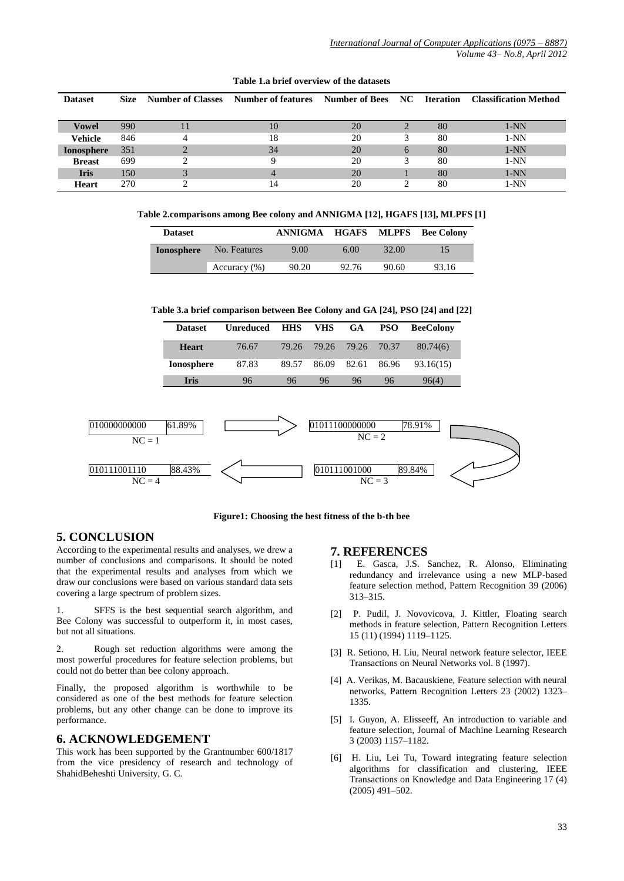| <b>Dataset</b>    | Size | <b>Number of Classes</b> | Number of features | <b>Number of Bees</b> | NC | <b>Iteration</b> | <b>Classification Method</b> |
|-------------------|------|--------------------------|--------------------|-----------------------|----|------------------|------------------------------|
|                   |      |                          |                    |                       |    |                  |                              |
| <b>Vowel</b>      | 990  |                          | 10                 | 20                    |    | 80               | $1-NN$                       |
| <b>Vehicle</b>    | 846  |                          | 18                 | 20                    |    | 80               | $1-NN$                       |
| <b>Ionosphere</b> | 351  |                          | 34                 | 20                    | 6  | 80               | $1-NN$                       |
| <b>Breast</b>     | 699  |                          |                    | 20                    |    | 80               | $1-NN$                       |
| <b>Iris</b>       | 150  |                          | $\overline{4}$     | 20                    |    | 80               | $1-NN$                       |
| Heart             | 270  |                          | 14                 | 20                    |    | 80               | $1-NN$                       |

#### **Table 1.a brief overview of the datasets**

**Table 2.comparisons among Bee colony and ANNIGMA [12], HGAFS [13], MLPFS [1]**

| <b>Dataset</b>    |                  | ANNIGMA |       |       | <b>HGAFS MLPFS Bee Colony</b> |
|-------------------|------------------|---------|-------|-------|-------------------------------|
| <b>Ionosphere</b> | No. Features     | 9.00    | 6.00  | 32.00 |                               |
|                   | Accuracy $(\% )$ | 90.20   | 92.76 | 90.60 | 93.16                         |

**Table 3.a brief comparison between Bee Colony and GA [24], PSO [24] and [22]**

| 79.26<br>79.26<br>79.26<br>70.37<br>80.74(6)<br>76.67<br><b>Heart</b><br><b>Ionosphere</b><br>87.83<br>89.57<br>86.09<br>82.61<br>86.96<br>93.16(15)<br>96<br><b>Iris</b><br>96<br>96<br>96<br>96<br>96(4)<br>01011100000000<br>78.91%<br>61.89%<br>010000000000<br>$NC = 2$<br>$NC = 1$ | <b>Dataset</b> | <b>Unreduced</b> | <b>HHS</b> | <b>VHS</b> | <b>GA</b> | <b>PSO</b> | <b>BeeColony</b> |
|------------------------------------------------------------------------------------------------------------------------------------------------------------------------------------------------------------------------------------------------------------------------------------------|----------------|------------------|------------|------------|-----------|------------|------------------|
|                                                                                                                                                                                                                                                                                          |                |                  |            |            |           |            |                  |
|                                                                                                                                                                                                                                                                                          |                |                  |            |            |           |            |                  |
|                                                                                                                                                                                                                                                                                          |                |                  |            |            |           |            |                  |
|                                                                                                                                                                                                                                                                                          |                |                  |            |            |           |            |                  |

**Figure1: Choosing the best fitness of the b-th bee**

#### **5. CONCLUSION**

According to the experimental results and analyses, we drew a number of conclusions and comparisons. It should be noted that the experimental results and analyses from which we draw our conclusions were based on various standard data sets covering a large spectrum of problem sizes.

1. SFFS is the best sequential search algorithm, and Bee Colony was successful to outperform it, in most cases, but not all situations.

2. Rough set reduction algorithms were among the most powerful procedures for feature selection problems, but could not do better than bee colony approach.

Finally, the proposed algorithm is worthwhile to be considered as one of the best methods for feature selection problems, but any other change can be done to improve its performance.

#### **6. ACKNOWLEDGEMENT**

This work has been supported by the Grantnumber 600/1817 from the vice presidency of research and technology of ShahidBeheshti University, G. C.

#### **7. REFERENCES**

- [1] E. Gasca, J.S. Sanchez, R. Alonso, Eliminating redundancy and irrelevance using a new MLP-based feature selection method, Pattern Recognition 39 (2006) 313–315.
- [2] P. Pudil, J. Novovicova, J. Kittler, Floating search methods in feature selection, Pattern Recognition Letters 15 (11) (1994) 1119–1125.
- [3] R. Setiono, H. Liu, Neural network feature selector, IEEE Transactions on Neural Networks vol. 8 (1997).
- [4] A. Verikas, M. Bacauskiene, Feature selection with neural networks, Pattern Recognition Letters 23 (2002) 1323– 1335.
- [5] I. Guyon, A. Elisseeff, An introduction to variable and feature selection, Journal of Machine Learning Research 3 (2003) 1157–1182.
- [6] H. Liu, Lei Tu, Toward integrating feature selection algorithms for classification and clustering, IEEE Transactions on Knowledge and Data Engineering 17 (4) (2005) 491–502.